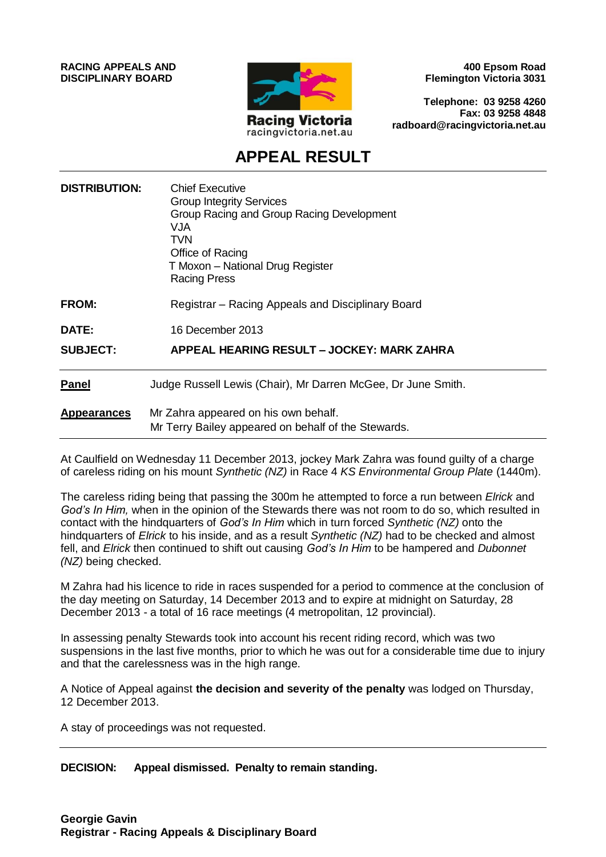**RACING APPEALS AND DISCIPLINARY BOARD**



**400 Epsom Road Flemington Victoria 3031**

**Telephone: 03 9258 4260 Fax: 03 9258 4848 radboard@racingvictoria.net.au**

## **APPEAL RESULT**

| <b>DISTRIBUTION:</b> | <b>Chief Executive</b><br><b>Group Integrity Services</b><br>Group Racing and Group Racing Development<br>VJA<br>TVN<br>Office of Racing<br>T Moxon - National Drug Register<br><b>Racing Press</b> |
|----------------------|-----------------------------------------------------------------------------------------------------------------------------------------------------------------------------------------------------|
| <b>FROM:</b>         | Registrar – Racing Appeals and Disciplinary Board                                                                                                                                                   |
| <b>DATE:</b>         | 16 December 2013                                                                                                                                                                                    |
| <b>SUBJECT:</b>      | APPEAL HEARING RESULT – JOCKEY: MARK ZAHRA                                                                                                                                                          |
| <b>Panel</b>         | Judge Russell Lewis (Chair), Mr Darren McGee, Dr June Smith.                                                                                                                                        |
| <b>Appearances</b>   | Mr Zahra appeared on his own behalf.<br>Mr Terry Bailey appeared on behalf of the Stewards.                                                                                                         |

At Caulfield on Wednesday 11 December 2013, jockey Mark Zahra was found guilty of a charge of careless riding on his mount *Synthetic (NZ)* in Race 4 *KS Environmental Group Plate* (1440m).

The careless riding being that passing the 300m he attempted to force a run between *Elrick* and *God's In Him,* when in the opinion of the Stewards there was not room to do so, which resulted in contact with the hindquarters of *God's In Him* which in turn forced *Synthetic (NZ)* onto the hindquarters of *Elrick* to his inside, and as a result *Synthetic (NZ)* had to be checked and almost fell, and *Elrick* then continued to shift out causing *God's In Him* to be hampered and *Dubonnet (NZ)* being checked.

M Zahra had his licence to ride in races suspended for a period to commence at the conclusion of the day meeting on Saturday, 14 December 2013 and to expire at midnight on Saturday, 28 December 2013 - a total of 16 race meetings (4 metropolitan, 12 provincial).

In assessing penalty Stewards took into account his recent riding record, which was two suspensions in the last five months, prior to which he was out for a considerable time due to injury and that the carelessness was in the high range.

A Notice of Appeal against **the decision and severity of the penalty** was lodged on Thursday, 12 December 2013.

A stay of proceedings was not requested.

**DECISION: Appeal dismissed. Penalty to remain standing.**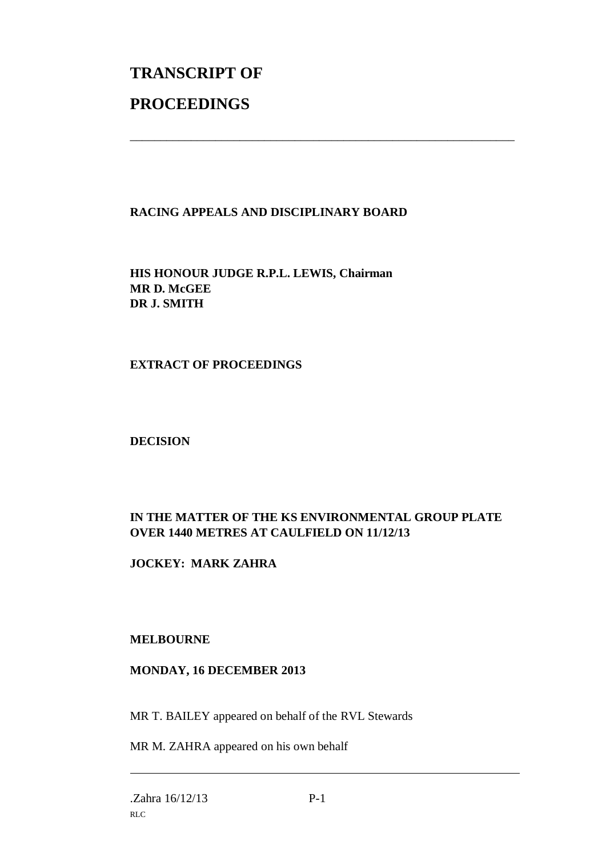# **TRANSCRIPT OF PROCEEDINGS**

#### **RACING APPEALS AND DISCIPLINARY BOARD**

\_\_\_\_\_\_\_\_\_\_\_\_\_\_\_\_\_\_\_\_\_\_\_\_\_\_\_\_\_\_\_\_\_\_\_\_\_\_\_\_\_\_\_\_\_\_\_\_\_\_\_\_\_\_\_\_\_\_\_\_\_\_\_

**HIS HONOUR JUDGE R.P.L. LEWIS, Chairman MR D. McGEE DR J. SMITH**

#### **EXTRACT OF PROCEEDINGS**

#### **DECISION**

### **IN THE MATTER OF THE KS ENVIRONMENTAL GROUP PLATE OVER 1440 METRES AT CAULFIELD ON 11/12/13**

#### **JOCKEY: MARK ZAHRA**

#### **MELBOURNE**

#### **MONDAY, 16 DECEMBER 2013**

MR T. BAILEY appeared on behalf of the RVL Stewards

MR M. ZAHRA appeared on his own behalf